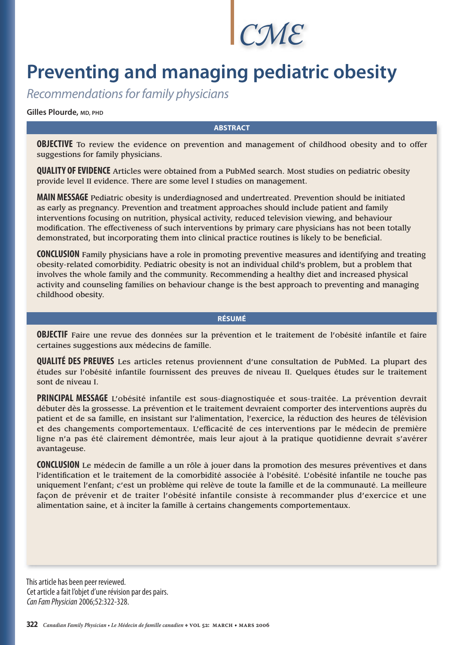*CME*

# **Preventing and managing pediatric obesity**

Recommendations for family physicians

**Gilles Plourde, MD, PHD**

## **ABSTRACT**

**OBJECTIVE** To review the evidence on prevention and management of childhood obesity and to offer suggestions for family physicians.

**QUALITY OF EVIDENCE** Articles were obtained from a PubMed search. Most studies on pediatric obesity provide level II evidence. There are some level I studies on management.

**MAIN MESSAGE** Pediatric obesity is underdiagnosed and undertreated. Prevention should be initiated as early as pregnancy. Prevention and treatment approaches should include patient and family interventions focusing on nutrition, physical activity, reduced television viewing, and behaviour modification. The effectiveness of such interventions by primary care physicians has not been totally demonstrated, but incorporating them into clinical practice routines is likely to be beneficial.

**CONCLUSION** Family physicians have a role in promoting preventive measures and identifying and treating obesity-related comorbidity. Pediatric obesity is not an individual child's problem, but a problem that involves the whole family and the community. Recommending a healthy diet and increased physical activity and counseling families on behaviour change is the best approach to preventing and managing childhood obesity.

## **RÉSUMÉ**

**OBJECTIF** Faire une revue des données sur la prévention et le traitement de l'obésité infantile et faire certaines suggestions aux médecins de famille.

**QUALITÉ DES PREUVES** Les articles retenus proviennent d'une consultation de PubMed. La plupart des études sur l'obésité infantile fournissent des preuves de niveau II. Quelques études sur le traitement sont de niveau I.

**PRINCIPAL MESSAGE** L'obésité infantile est sous-diagnostiquée et sous-traitée. La prévention devrait débuter dès la grossesse. La prévention et le traitement devraient comporter des interventions auprès du patient et de sa famille, en insistant sur l'alimentation, l'exercice, la réduction des heures de télévision et des changements comportementaux. L'efficacité de ces interventions par le médecin de première ligne n'a pas été clairement démontrée, mais leur ajout à la pratique quotidienne devrait s'avérer avantageuse.

**CONCLUSION** Le médecin de famille a un rôle à jouer dans la promotion des mesures préventives et dans l'identification et le traitement de la comorbidité associée à l'obésité. L'obésité infantile ne touche pas uniquement l'enfant; c'est un problème qui relève de toute la famille et de la communauté. La meilleure façon de prévenir et de traiter l'obésité infantile consiste à recommander plus d'exercice et une alimentation saine, et à inciter la famille à certains changements comportementaux.

This article has been peer reviewed. Cet article a fait l'objet d'une révision par des pairs. Can Fam Physician 2006;52:322-328.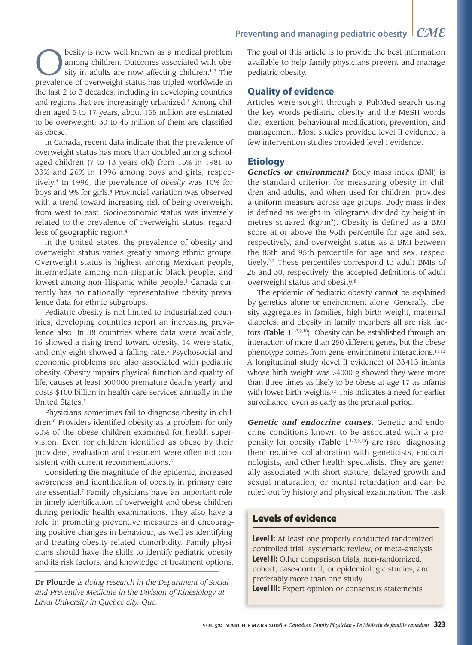besity is now well known as a medical problem among children. Outcomes associated with obesity in adults are now affecting children.<sup>1-3</sup> The prevalence of overweight status has tripled worldwide in the last 2 to 3 decades, including in developing countries and regions that are increasingly urbanized.<sup>1</sup> Among children aged 5 to 17 years, about 155 million are estimated to be overweight; 30 to 45 million of them are classified as obese.<sup>1</sup>

In Canada, recent data indicate that the prevalence of overweight status has more than doubled among schoolaged children (7 to 13 years old) from 15% in 1981 to 33% and 26% in 1996 among boys and girls, respectively.4 In 1996, the prevalence of *obesity* was 10% for boys and 9% for girls.4 Provincial variation was observed with a trend toward increasing risk of being overweight from west to east. Socioeconomic status was inversely related to the prevalence of overweight status, regardless of geographic region.4

In the United States, the prevalence of obesity and overweight status varies greatly among ethnic groups. Overweight status is highest among Mexican people, intermediate among non-Hispanic black people, and lowest among non-Hispanic white people.<sup>1</sup> Canada currently has no nationally representative obesity prevalence data for ethnic subgroups.

Pediatric obesity is not limited to industrialized countries; developing countries report an increasing prevalence also. In 38 countries where data were available, 16 showed a rising trend toward obesity, 14 were static, and only eight showed a falling rate.<sup>5</sup> Psychosocial and economic problems are also associated with pediatric obesity. Obesity impairs physical function and quality of life, causes at least 300 000 premature deaths yearly, and costs \$100 billion in health care services annually in the United States.<sup>1</sup>

Physicians sometimes fail to diagnose obesity in children.<sup>6</sup> Providers identified obesity as a problem for only 50% of the obese children examined for health supervision. Even for children identified as obese by their providers, evaluation and treatment were often not consistent with current recommendations.<sup>6</sup>

Considering the magnitude of the epidemic, increased awareness and identification of obesity in primary care are essential.7 Family physicians have an important role in timely identification of overweight and obese children during periodic health examinations. They also have a role in promoting preventive measures and encouraging positive changes in behaviour, as well as identifying and treating obesity-related comorbidity. Family physicians should have the skills to identify pediatric obesity and its risk factors, and knowledge of treatment options.

Dr Plourde *is doing research in the Department of Social and Preventive Medicine in the Division of Kinesiology at Laval University in Quebec city, Que.*

## **Preventing and managing pediatric obesity** *CME*

The goal of this article is to provide the best information available to help family physicians prevent and manage pediatric obesity.

## **Quality of evidence**

Articles were sought through a PubMed search using the key words pediatric obesity and the MeSH words diet, exertion, behavioural modification, prevention, and management. Most studies provided level II evidence; a few intervention studies provided level I evidence.

## **Etiology**

*Genetics or environment?* Body mass index (BMI) is the standard criterion for measuring obesity in children and adults, and when used for children, provides a uniform measure across age groups. Body mass index is defined as weight in kilograms divided by height in metres squared  $(kg/m<sup>2</sup>)$ . Obesity is defined as a BMI score at or above the 95th percentile for age and sex, respectively, and overweight status as a BMI between the 85th and 95th percentile for age and sex, respectively.2,3 These percentiles correspond to adult BMIs of 25 and 30, respectively, the accepted definitions of adult overweight status and obesity.8

The epidemic of pediatric obesity cannot be explained by genetics alone or environment alone. Generally, obesity aggregates in families; high birth weight, maternal diabetes, and obesity in family members all are risk factors (Table  $1^{1-3,9,10}$ ). Obesity can be established through an interaction of more than 250 different genes, but the obese phenotype comes from gene-environment interactions.<sup>11,12</sup> A longitudinal study (level II evidence) of 33 413 infants whose birth weight was >4000 g showed they were more than three times as likely to be obese at age 17 as infants with lower birth weights.<sup>13</sup> This indicates a need for earlier surveillance, even as early as the prenatal period.

*Genetic and endocrine causes*. Genetic and endocrine conditions known to be associated with a propensity for obesity (Table  $1^{1-3,9,10}$ ) are rare; diagnosing them requires collaboration with geneticists, endocrinologists, and other health specialists. They are generally associated with short stature, delayed growth and sexual maturation, or mental retardation and can be ruled out by history and physical examination. The task

## Levels of evidence

**Level I:** At least one properly conducted randomized controlled trial, systematic review, or meta-analysis **Level II:** Other comparison trials, non-randomized, cohort, case-control, or epidemiologic studies, and preferably more than one study **Level III:** Expert opinion or consensus statements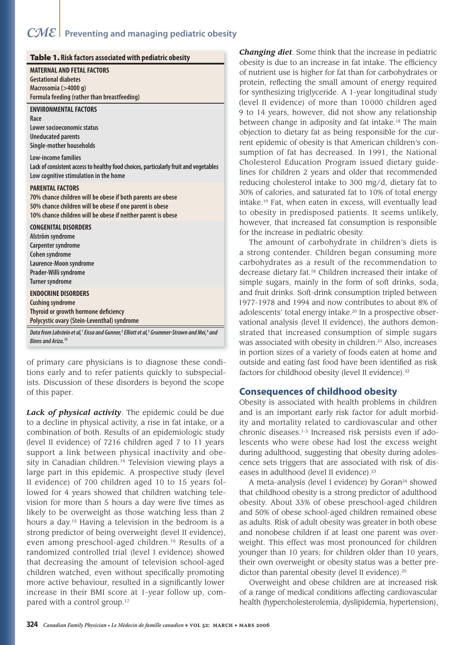# *CME* **Preventing and managing pediatric obesity**

| Table 1. Risk factors associated with pediatric obesity                                                                                                                                                            |  |
|--------------------------------------------------------------------------------------------------------------------------------------------------------------------------------------------------------------------|--|
| <b>MATERNAL AND FETAL FACTORS</b><br><b>Gestational diabetes</b><br>Macrosomia (>4000 g)<br>Formula feeding (rather than breastfeeding)                                                                            |  |
| <b>ENVIRONMENTAL FACTORS</b><br>Race<br>Lower socioeconomic status<br><b>Uneducated parents</b><br>Single-mother households                                                                                        |  |
| Low-income families<br>Lack of consistent access to healthy food choices, particularly fruit and vegetables<br>Low cognitive stimulation in the home                                                               |  |
| <b>PARENTAL FACTORS</b><br>70% chance children will be obese if both parents are obese<br>50% chance children will be obese if one parent is obese<br>10% chance children will be obese if neither parent is obese |  |
| <b>CONGENITAL DISORDERS</b><br>Alström syndrome<br>Carpenter syndrome<br>Cohen syndrome<br>Laurence-Moon syndrome<br>Prader-Willi syndrome<br><b>Turner syndrome</b>                                               |  |
| <b>ENDOCRINE DISORDERS</b><br><b>Cushing syndrome</b><br>Thyroid or growth hormone deficiency<br>Polycystic ovary (Stein-Leventhal) syndrome                                                                       |  |
| Data from Lobstein et al, <sup>1</sup> Eissa and Gunner, <sup>2</sup> Elliott et al, <sup>3</sup> Grummer-Strawn and Mei, <sup>9</sup> and<br>Binns and Ariza. <sup>10</sup>                                       |  |

of primary care physicians is to diagnose these conditions early and to refer patients quickly to subspecialists. Discussion of these disorders is beyond the scope of this paper.

*Lack of physical activity*. The epidemic could be due to a decline in physical activity, a rise in fat intake, or a combination of both. Results of an epidemiologic study (level II evidence) of 7216 children aged 7 to 11 years support a link between physical inactivity and obesity in Canadian children.<sup>14</sup> Television viewing plays a large part in this epidemic. A prospective study (level II evidence) of 700 children aged 10 to 15 years followed for 4 years showed that children watching television for more than 5 hours a day were five times as likely to be overweight as those watching less than 2 hours a day.15 Having a television in the bedroom is a strong predictor of being overweight (level II evidence), even among preschool-aged children.16 Results of a randomized controlled trial (level I evidence) showed that decreasing the amount of television school-aged children watched, even without specifically promoting more active behaviour, resulted in a significantly lower increase in their BMI score at 1-year follow up, compared with a control group.<sup>17</sup>

*Changing diet*. Some think that the increase in pediatric obesity is due to an increase in fat intake. The efficiency of nutrient use is higher for fat than for carbohydrates or protein, reflecting the small amount of energy required for synthesizing triglyceride. A 1-year longitudinal study (level II evidence) of more than 10 000 children aged 9 to 14 years, however, did not show any relationship between change in adiposity and fat intake.<sup>18</sup> The main objection to dietary fat as being responsible for the current epidemic of obesity is that American children's consumption of fat has decreased. In 1991, the National Cholesterol Education Program issued dietary guideines for children 2 years and older that recommended reducing cholesterol intake to 300 mg/d, dietary fat to 30% of calories, and saturated fat to 10% of total energy ntake.<sup>19</sup> Fat, when eaten in excess, will eventually lead o obesity in predisposed patients. It seems unlikely, however, that increased fat consumption is responsible for the increase in pediatric obesity.

The amount of carbohydrate in children's diets is a strong contender. Children began consuming more carbohydrates as a result of the recommendation to decrease dietary fat.<sup>18</sup> Children increased their intake of simple sugars, mainly in the form of soft drinks, soda, and fruit drinks. Soft-drink consumption tripled between 1977-1978 and 1994 and now contributes to about 8% of adolescents' total energy intake.<sup>20</sup> In a prospective observational analysis (level II evidence), the authors demonstrated that increased consumption of simple sugars was associated with obesity in children.<sup>21</sup> Also, increases in portion sizes of a variety of foods eaten at home and outside and eating fast food have been identified as risk factors for childhood obesity (level II evidence).<sup>22</sup>

## **Consequences of childhood obesity**

Obesity is associated with health problems in children and is an important early risk factor for adult morbidity and mortality related to cardiovascular and other chronic diseases.1-3 Increased risk persists even if adolescents who were obese had lost the excess weight during adulthood, suggesting that obesity during adolescence sets triggers that are associated with risk of diseases in adulthood (level II evidence).<sup>23</sup>

A meta-analysis (level I evidence) by Goran $24$  showed that childhood obesity is a strong predictor of adulthood obesity. About 33% of obese preschool-aged children and 50% of obese school-aged children remained obese as adults. Risk of adult obesity was greater in both obese and nonobese children if at least one parent was overweight. This effect was most pronounced for children younger than 10 years; for children older than 10 years, their own overweight or obesity status was a better predictor than parental obesity (level II evidence).<sup>25</sup>

Overweight and obese children are at increased risk of a range of medical conditions affecting cardiovascular health (hypercholesterolemia, dyslipidemia, hypertension),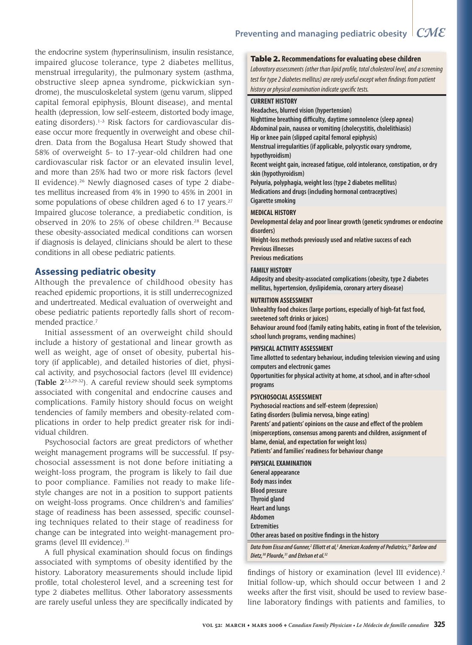the endocrine system (hyperinsulinism, insulin resistance, impaired glucose tolerance, type 2 diabetes mellitus, menstrual irregularity), the pulmonary system (asthma, obstructive sleep apnea syndrome, pickwickian syndrome), the musculoskeletal system (genu varum, slipped capital femoral epiphysis, Blount disease), and mental health (depression, low self-esteem, distorted body image, eating disorders).1-3 Risk factors for cardiovascular disease occur more frequently in overweight and obese children. Data from the Bogalusa Heart Study showed that 58% of overweight 5- to 17-year-old children had one cardiovascular risk factor or an elevated insulin level, and more than 25% had two or more risk factors (level II evidence). $26$  Newly diagnosed cases of type 2 diabetes mellitus increased from 4% in 1990 to 45% in 2001 in some populations of obese children aged 6 to 17 years.<sup>27</sup> Impaired glucose tolerance, a prediabetic condition, is observed in 20% to 25% of obese children.28 Because these obesity-associated medical conditions can worsen if diagnosis is delayed, clinicians should be alert to these conditions in all obese pediatric patients.

## **Assessing pediatric obesity**

Although the prevalence of childhood obesity has reached epidemic proportions, it is still underrecognized and undertreated. Medical evaluation of overweight and obese pediatric patients reportedly falls short of recommended practice.7

Initial assessment of an overweight child should include a history of gestational and linear growth as well as weight, age of onset of obesity, pubertal history (if applicable), and detailed histories of diet, physical activity, and psychosocial factors (level III evidence) (Table 22,3,29-32). A careful review should seek symptoms associated with congenital and endocrine causes and complications. Family history should focus on weight tendencies of family members and obesity-related complications in order to help predict greater risk for individual children.

Psychosocial factors are great predictors of whether weight management programs will be successful. If psychosocial assessment is not done before initiating a weight-loss program, the program is likely to fail due to poor compliance. Families not ready to make lifestyle changes are not in a position to support patients on weight-loss programs. Once children's and families' stage of readiness has been assessed, specific counseling techniques related to their stage of readiness for change can be integrated into weight-management programs (level III evidence).<sup>31</sup>

A full physical examination should focus on findings associated with symptoms of obesity identified by the history. Laboratory measurements should include lipid profile, total cholesterol level, and a screening test for type 2 diabetes mellitus. Other laboratory assessments are rarely useful unless they are specifically indicated by

### Table 2. **Recommendations for evaluating obese children**

Laboratory assessments (other than lipid profile, total cholesterol level, and a screening test for type 2 diabetes mellitus) are rarely useful except when findings from patient history or physical examination indicate specific tests.

#### **CURRENT HISTORY**

**Headaches, blurred vision (hypertension)**

**Nighttime breathing difficulty, daytime somnolence (sleep apnea) Abdominal pain, nausea or vomiting (cholecystitis, cholelithiasis) Hip or knee pain (slipped capital femoral epiphysis) Menstrual irregularities (if applicable, polycystic ovary syndrome, hypothyroidism) Recent weight gain, increased fatigue, cold intolerance, constipation, or dry skin (hypothyroidism) Polyuria, polyphagia, weight loss (type 2 diabetes mellitus) Medications and drugs (including hormonal contraceptives)**

# **Cigarette smoking**

## **MEDICAL HISTORY**

**Developmental delay and poor linear growth (genetic syndromes or endocrine disorders)**

**Weight-loss methods previously used and relative success of each Previous illnesses**

**Previous medications**

#### **FAMILY HISTORY**

**Adiposity and obesity-associated complications (obesity, type 2 diabetes mellitus, hypertension, dyslipidemia, coronary artery disease)**

#### **NUTRITION ASSESSMENT**

**Unhealthy food choices (large portions, especially of high-fat fast food, sweetened soft drinks or juices)**

**Behaviour around food (family eating habits, eating in front of the television, school lunch programs, vending machines)**

#### **PHYSICAL ACTIVITY ASSESSMENT**

**Time allotted to sedentary behaviour, including television viewing and using computers and electronic games**

**Opportunities for physical activity at home, at school, and in after-school programs**

#### **PSYCHOSOCIAL ASSESSMENT**

**Psychosocial reactions and self-esteem (depression) Eating disorders (bulimia nervosa, binge eating)** Parents' and patients' opinions on the cause and effect of the problem **(misperceptions, consensus among parents and children, assignment of blame, denial, and expectation for weight loss) Patients' and families' readiness for behaviour change**

## **PHYSICAL EXAMINATION**

| General appearance                                    |
|-------------------------------------------------------|
| <b>Body mass index</b>                                |
| <b>Blood pressure</b>                                 |
| <b>Thyroid gland</b>                                  |
| <b>Heart and lungs</b>                                |
| Abdomen                                               |
| <b>Extremities</b>                                    |
| Other areas based on positive findings in the history |

Data from Eissa and Gunner,<sup>2</sup> Elliott et al,<sup>3</sup> American Academy of Pediatrics,<sup>29</sup> Barlow and **Dietz,30 Plourde,31 and Etelson et al.32** 

findings of history or examination (level III evidence).<sup>2</sup> Initial follow-up, which should occur between 1 and 2 weeks after the first visit, should be used to review baseline laboratory findings with patients and families, to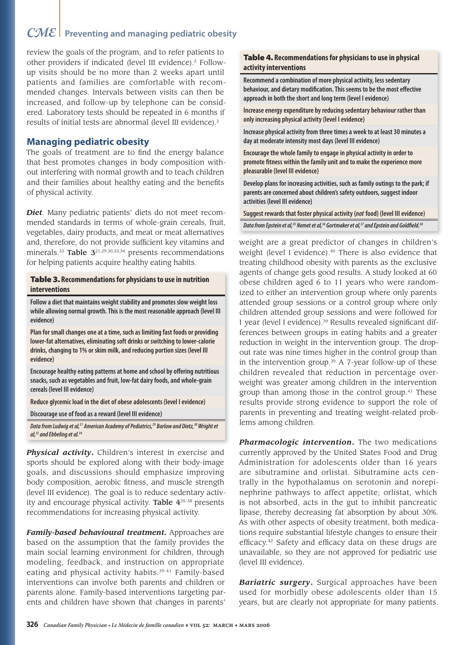# *CME* **Preventing and managing pediatric obesity**

review the goals of the program, and to refer patients to other providers if indicated (level III evidence).<sup>2</sup> Followup visits should be no more than 2 weeks apart until patients and families are comfortable with recommended changes. Intervals between visits can then be increased, and follow-up by telephone can be considered. Laboratory tests should be repeated in 6 months if results of initial tests are abnormal (level III evidence).2

## **Managing pediatric obesity**

The goals of treatment are to find the energy balance that best promotes changes in body composition without interfering with normal growth and to teach children and their families about healthy eating and the benefits of physical activity.

*Diet*. Many pediatric patients' diets do not meet recommended standards in terms of whole-grain cereals, fruit, vegetables, dairy products, and meat or meat alternatives and, therefore, do not provide sufficient key vitamins and minerals.<sup>33</sup> Table 3<sup>21,29,30,33,34</sup> presents recommendations for helping patients acquire healthy eating habits.

### Table 3. **Recommendations for physicians to use in nutrition interventions**

**Follow a diet that maintains weight stability and promotes slow weight loss while allowing normal growth. This is the most reasonable approach (level III evidence)**

**Plan for small changes one at a time, such as limiting fast foods or providing lower-fat alternatives, eliminating soft drinks or switching to lower-calorie drinks, changing to 1% or skim milk, and reducing portion sizes (level III evidence)**

**Encourage healthy eating patterns at home and school by offering nutritious snacks, such as vegetables and fruit, low-fat dairy foods, and whole-grain cereals (level III evidence)**

**Reduce glycemic load in the diet of obese adolescents (level I evidence)**

**Discourage use of food as a reward (level III evidence)**

Data from Ludwig et al,<sup>21</sup> American Academy of Pediatrics,<sup>29</sup> Barlow and Dietz,<sup>30</sup> Wright et **al,33 and Ebbeling et al.34**

*Physical activity***.** Children's interest in exercise and sports should be explored along with their body-image goals, and discussions should emphasize improving body composition, aerobic fitness, and muscle strength (level III evidence). The goal is to reduce sedentary activity and encourage physical activity. Table 4<sup>35-38</sup> presents recommendations for increasing physical activity.

*Family-based behavioural treatment***.** Approaches are based on the assumption that the family provides the main social learning environment for children, through modeling, feedback, and instruction on appropriate eating and physical activity habits.<sup>39-41</sup> Family-based interventions can involve both parents and children or parents alone. Family-based interventions targeting parents and children have shown that changes in parents'

## Table 4. **Recommendations for physicians to use in physical activity interventions**

**Recommend a combination of more physical activity, less sedentary**  behaviour, and dietary modification. This seems to be the most effective **approach in both the short and long term (level I evidence)**

**Increase energy expenditure by reducing sedentary behaviour rather than only increasing physical activity (level I evidence)**

**Increase physical activity from three times a week to at least 30 minutes a day at moderate intensity most days (level III evidence)**

**Encourage the whole family to engage in physical activity in order to promote fi tness within the family unit and to make the experience more pleasurable (level III evidence)**

**Develop plans for increasing activities, such as family outings to the park; if parents are concerned about children's safety outdoors, suggest indoor activities (level III evidence)**

**Suggest rewards that foster physical activity (not food) (level III evidence)** Data from Epstein et al,<sup>35</sup> Nemet et al,<sup>36</sup> Gortmaker et al,<sup>37</sup> and Epstein and Goldfield.<sup>38</sup>

weight are a great predictor of changes in children's weight (level I evidence).<sup>40</sup> There is also evidence that treating childhood obesity with parents as the exclusive agents of change gets good results. A study looked at 60 obese children aged 6 to 11 years who were randomized to either an intervention group where only parents attended group sessions or a control group where only children attended group sessions and were followed for 1 year (level I evidence).<sup>39</sup> Results revealed significant differences between groups in eating habits and a greater reduction in weight in the intervention group. The dropout rate was nine times higher in the control group than in the intervention group. $39$  A 7-year follow-up of these children revealed that reduction in percentage overweight was greater among children in the intervention group than among those in the control group.41 These results provide strong evidence to support the role of parents in preventing and treating weight-related problems among children.

*Pharmacologic intervention***.** The two medications currently approved by the United States Food and Drug Administration for adolescents older than 16 years are sibutramine and orlistat. Sibutramine acts centrally in the hypothalamus on serotonin and norepinephrine pathways to affect appetite; orlistat, which is not absorbed, acts in the gut to inhibit pancreatic lipase, thereby decreasing fat absorption by about 30%. As with other aspects of obesity treatment, both medications require substantial lifestyle changes to ensure their efficacy.<sup>42</sup> Safety and efficacy data on these drugs are unavailable, so they are not approved for pediatric use (level III evidence).

*Bariatric surgery***.** Surgical approaches have been used for morbidly obese adolescents older than 15 years, but are clearly not appropriate for many patients.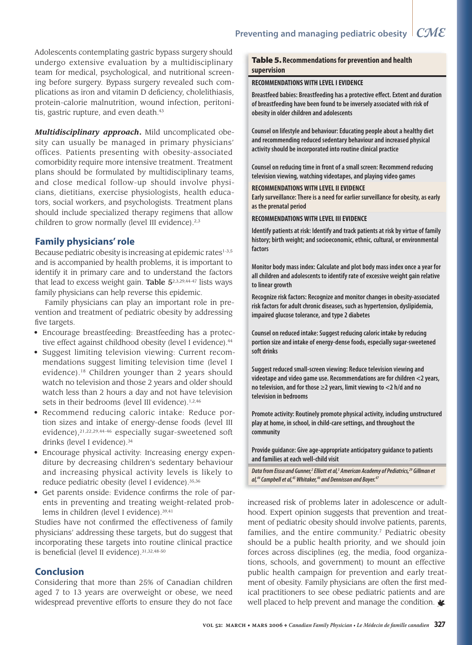Adolescents contemplating gastric bypass surgery should undergo extensive evaluation by a multidisciplinary team for medical, psychological, and nutritional screening before surgery. Bypass surgery revealed such complications as iron and vitamin D deficiency, cholelithiasis, protein-calorie malnutrition, wound infection, peritonitis, gastric rupture, and even death.<sup>43</sup>

*Multidisciplinary approach***.** Mild uncomplicated obesity can usually be managed in primary physicians' offices. Patients presenting with obesity-associated comorbidity require more intensive treatment. Treatment plans should be formulated by multidisciplinary teams, and close medical follow-up should involve physicians, dietitians, exercise physiologists, health educators, social workers, and psychologists. Treatment plans should include specialized therapy regimens that allow children to grow normally (level III evidence).<sup>2,3</sup>

## **Family physicians' role**

Because pediatric obesity is increasing at epidemic rates<sup>1-3,5</sup> and is accompanied by health problems, it is important to identify it in primary care and to understand the factors that lead to excess weight gain. Table  $5^{2,3,29,44-47}$  lists ways family physicians can help reverse this epidemic.

Family physicians can play an important role in prevention and treatment of pediatric obesity by addressing five targets.

- Encourage breastfeeding: Breastfeeding has a protective effect against childhood obesity (level I evidence).<sup>44</sup>
- Suggest limiting television viewing: Current recommendations suggest limiting television time (level I evidence).18 Children younger than 2 years should watch no television and those 2 years and older should watch less than 2 hours a day and not have television sets in their bedrooms (level III evidence).<sup>1,2,46</sup>
- Recommend reducing caloric intake: Reduce portion sizes and intake of energy-dense foods (level III evidence),<sup>21,22,29,44-46</sup> especially sugar-sweetened soft drinks (level I evidence).<sup>34</sup>
- Encourage physical activity: Increasing energy expenditure by decreasing children's sedentary behaviour and increasing physical activity levels is likely to reduce pediatric obesity (level I evidence). 35,36
- Get parents onside: Evidence confirms the role of parents in preventing and treating weight-related problems in children (level I evidence).<sup>39,41</sup>

Studies have not confirmed the effectiveness of family physicians' addressing these targets, but do suggest that incorporating these targets into routine clinical practice is beneficial (level II evidence). 31,32,48-50

## **Conclusion**

Considering that more than 25% of Canadian children aged 7 to 13 years are overweight or obese, we need widespread preventive efforts to ensure they do not face

## Table 5. **Recommendations for prevention and health supervision**

#### **RECOMMENDATIONS WITH LEVEL I EVIDENCE**

**Breastfeed babies: Breastfeeding has a protective effect. Extent and duration of breastfeeding have been found to be inversely associated with risk of obesity in older children and adolescents**

**Counsel on lifestyle and behaviour: Educating people about a healthy diet and recommending reduced sedentary behaviour and increased physical activity should be incorporated into routine clinical practice**

**Counsel on reducing time in front of a small screen: Recommend reducing television viewing, watching videotapes, and playing video games**

#### **RECOMMENDATIONS WITH LEVEL II EVIDENCE**

**Early surveillance: There is a need for earlier surveillance for obesity, as early as the prenatal period**

**RECOMMENDATIONS WITH LEVEL III EVIDENCE**

**Identify patients at risk: Identify and track patients at risk by virtue of family history; birth weight; and socioeconomic, ethnic, cultural, or environmental factors**

**Monitor body mass index: Calculate and plot body mass index once a year for all children and adolescents to identify rate of excessive weight gain relative to linear growth**

**Recognize risk factors: Recognize and monitor changes in obesity-associated risk factors for adult chronic diseases, such as hypertension, dyslipidemia, impaired glucose tolerance, and type 2 diabetes**

**Counsel on reduced intake: Suggest reducing caloric intake by reducing portion size and intake of energy-dense foods, especially sugar-sweetened soft drinks**

**Suggest reduced small-screen viewing: Reduce television viewing and videotape and video game use. Recommendations are for children <2 years, no television, and for those ≥2 years, limit viewing to <2 h/d and no television in bedrooms**

**Promote activity: Routinely promote physical activity, including unstructured play at home, in school, in child-care settings, and throughout the community**

**Provide guidance: Give age-appropriate anticipatory guidance to patients and families at each well-child visit**

Data from Eissa and Gunner,<sup>2</sup> Elliott et al,<sup>3</sup> American Academy of Pediatrics,<sup>29</sup> Gillman et al,<sup>44</sup> Campbell et al,<sup>45</sup> Whitaker,<sup>46</sup> and Dennisson and Boyer.<sup>47</sup>

increased risk of problems later in adolescence or adulthood. Expert opinion suggests that prevention and treatment of pediatric obesity should involve patients, parents, families, and the entire community.<sup>7</sup> Pediatric obesity should be a public health priority, and we should join forces across disciplines (eg, the media, food organizations, schools, and government) to mount an effective public health campaign for prevention and early treatment of obesity. Family physicians are often the first medical practitioners to see obese pediatric patients and are well placed to help prevent and manage the condition.